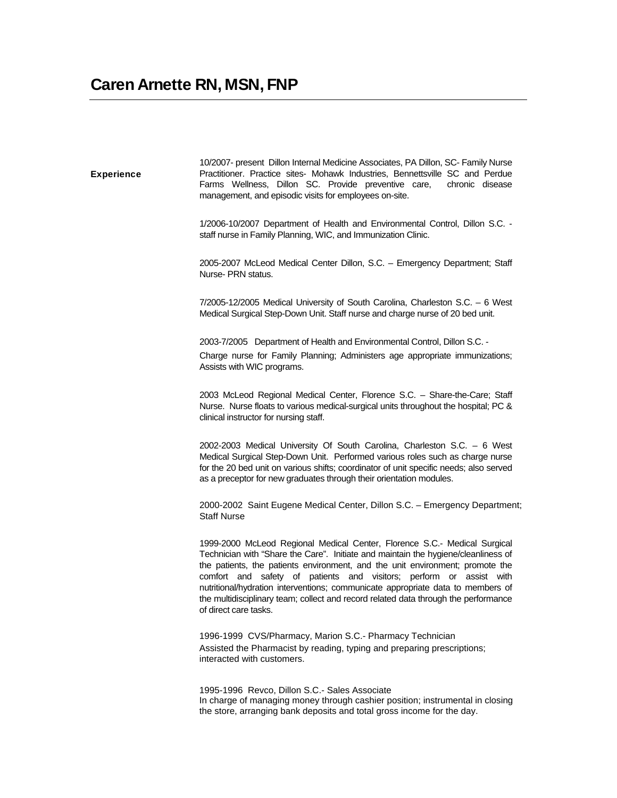**Experience** 

10/2007- present Dillon Internal Medicine Associates, PA Dillon, SC- Family Nurse Practitioner. Practice sites- Mohawk Industries, Bennettsville SC and Perdue Farms Wellness, Dillon SC. Provide preventive care, chronic disease management, and episodic visits for employees on-site.

1/2006-10/2007 Department of Health and Environmental Control, Dillon S.C. staff nurse in Family Planning, WIC, and Immunization Clinic.

2005-2007 McLeod Medical Center Dillon, S.C. – Emergency Department; Staff Nurse- PRN status.

7/2005-12/2005 Medical University of South Carolina, Charleston S.C. – 6 West Medical Surgical Step-Down Unit. Staff nurse and charge nurse of 20 bed unit.

2003-7/2005 Department of Health and Environmental Control, Dillon S.C. - Charge nurse for Family Planning; Administers age appropriate immunizations; Assists with WIC programs.

2003 McLeod Regional Medical Center, Florence S.C. – Share-the-Care; Staff Nurse. Nurse floats to various medical-surgical units throughout the hospital; PC & clinical instructor for nursing staff.

2002-2003 Medical University Of South Carolina, Charleston S.C. – 6 West Medical Surgical Step-Down Unit. Performed various roles such as charge nurse for the 20 bed unit on various shifts; coordinator of unit specific needs; also served as a preceptor for new graduates through their orientation modules.

2000-2002 Saint Eugene Medical Center, Dillon S.C. – Emergency Department; Staff Nurse

1999-2000 McLeod Regional Medical Center, Florence S.C.- Medical Surgical Technician with "Share the Care". Initiate and maintain the hygiene/cleanliness of the patients, the patients environment, and the unit environment; promote the comfort and safety of patients and visitors; perform or assist with nutritional/hydration interventions; communicate appropriate data to members of the multidisciplinary team; collect and record related data through the performance of direct care tasks.

1996-1999 CVS/Pharmacy, Marion S.C.- Pharmacy Technician Assisted the Pharmacist by reading, typing and preparing prescriptions; interacted with customers.

1995-1996 Revco, Dillon S.C.- Sales Associate In charge of managing money through cashier position; instrumental in closing the store, arranging bank deposits and total gross income for the day.